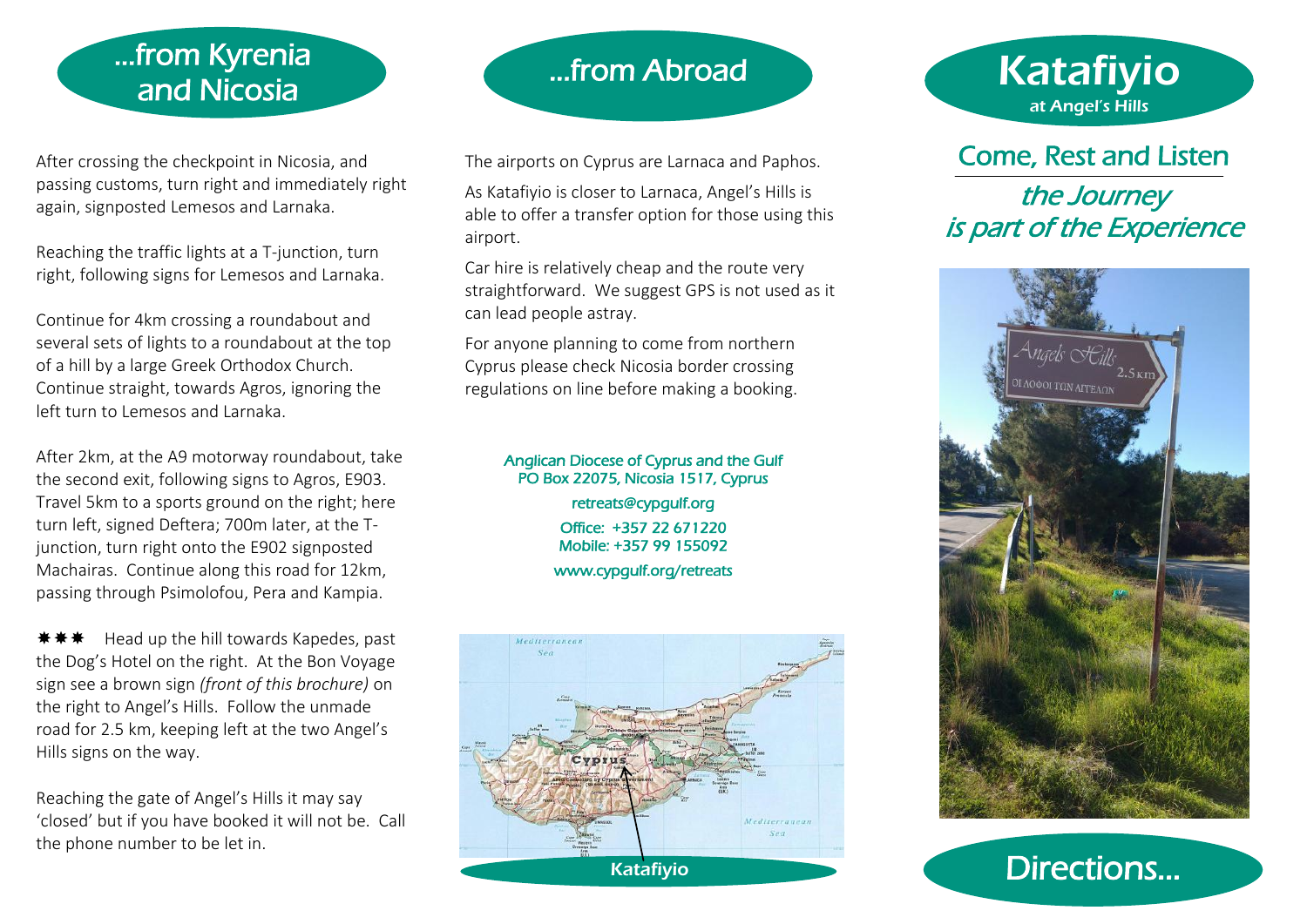# ...from Kyrenia and Nicosia

After crossing the checkpoint in Nicosia, and passing customs, turn right and immediately right again, signposted Lemesos and Larnaka.

Reaching the traffic lights at a T-junction, turn right, following signs for Lemesos and Larnaka.

Continue for 4km crossing a roundabout and several sets of lights to a roundabout at the top of a hill by a large Greek Orthodox Church. Continue straight, towards Agros, ignoring the left turn to Lemesos and Larnaka.

After 2km, at the A9 motorway roundabout, take the second exit, following signs to Agros, E903. Travel 5km to a sports ground on the right; here turn left, signed Deftera; 700m later, at the Tjunction, turn right onto the E902 signposted Machairas. Continue along this road for 12km, passing through Psimolofou, Pera and Kampia.

 $\dagger$  $\star$  $\star$  Head up the hill towards Kapedes, past the Dog's Hotel on the right. At the Bon Voyage sign see a brown sign *(front of this brochure)* on the right to Angel's Hills. Follow the unmade road for 2.5 km, keeping left at the two Angel's Hills signs on the way.

Reaching the gate of Angel's Hills it may say 'closed' but if you have booked it will not be. Call the phone number to be let in.

### ...from Abroad

The airports on Cyprus are Larnaca and Paphos.

As Katafiyio is closer to Larnaca, Angel's Hills is able to offer a transfer option for those using this airport.

Car hire is relatively cheap and the route very straightforward. We suggest GPS is not used as it can lead people astray.

For anyone planning to come from northern Cyprus please check Nicosia border crossing regulations on line before making a booking.

#### Anglican Diocese of Cyprus and the Gulf PO Box 22075, Nicosia 1517, Cyprus retreats@cypgulf.org Office: +357 22 671220 Mobile: +357 99 155092 www.cypgulf.org/retreats



# Katafiyio at Angel's Hills

### Come, Rest and Listen

### the Journey is part of the Experience